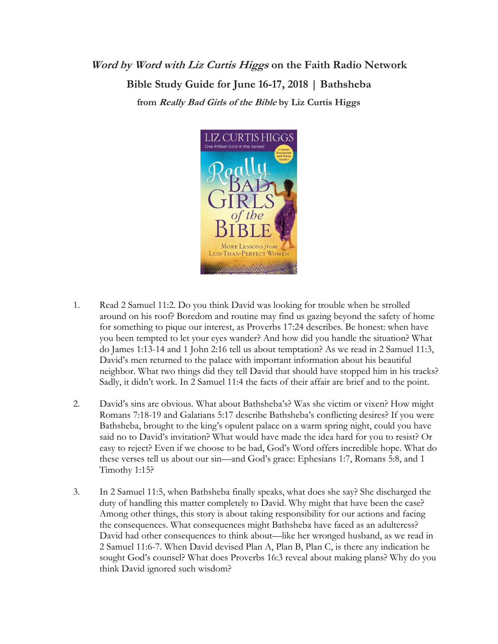**Word by Word with Liz Curtis Higgs on the Faith Radio Network Bible Study Guide for June 16-17, 2018 | Bathsheba from Really Bad Girls of the Bible by Liz Curtis Higgs**



- 1. Read 2 Samuel 11:2. Do you think David was looking for trouble when he strolled around on his roof? Boredom and routine may find us gazing beyond the safety of home for something to pique our interest, as Proverbs 17:24 describes. Be honest: when have you been tempted to let your eyes wander? And how did you handle the situation? What do James 1:13-14 and 1 John 2:16 tell us about temptation? As we read in 2 Samuel 11:3, David's men returned to the palace with important information about his beautiful neighbor. What two things did they tell David that should have stopped him in his tracks? Sadly, it didn't work. In 2 Samuel 11:4 the facts of their affair are brief and to the point.
- 2. David's sins are obvious. What about Bathsheba's? Was she victim or vixen? How might Romans 7:18-19 and Galatians 5:17 describe Bathsheba's conflicting desires? If you were Bathsheba, brought to the king's opulent palace on a warm spring night, could you have said no to David's invitation? What would have made the idea hard for you to resist? Or easy to reject? Even if we choose to be bad, God's Word offers incredible hope. What do these verses tell us about our sin—and God's grace: Ephesians 1:7, Romans 5:8, and 1 Timothy 1:15?
- 3. In 2 Samuel 11:5, when Bathsheba finally speaks, what does she say? She discharged the duty of handling this matter completely to David. Why might that have been the case? Among other things, this story is about taking responsibility for our actions and facing the consequences. What consequences might Bathsheba have faced as an adulteress? David had other consequences to think about—like her wronged husband, as we read in 2 Samuel 11:6-7. When David devised Plan A, Plan B, Plan C, is there any indication he sought God's counsel? What does Proverbs 16:3 reveal about making plans? Why do you think David ignored such wisdom?